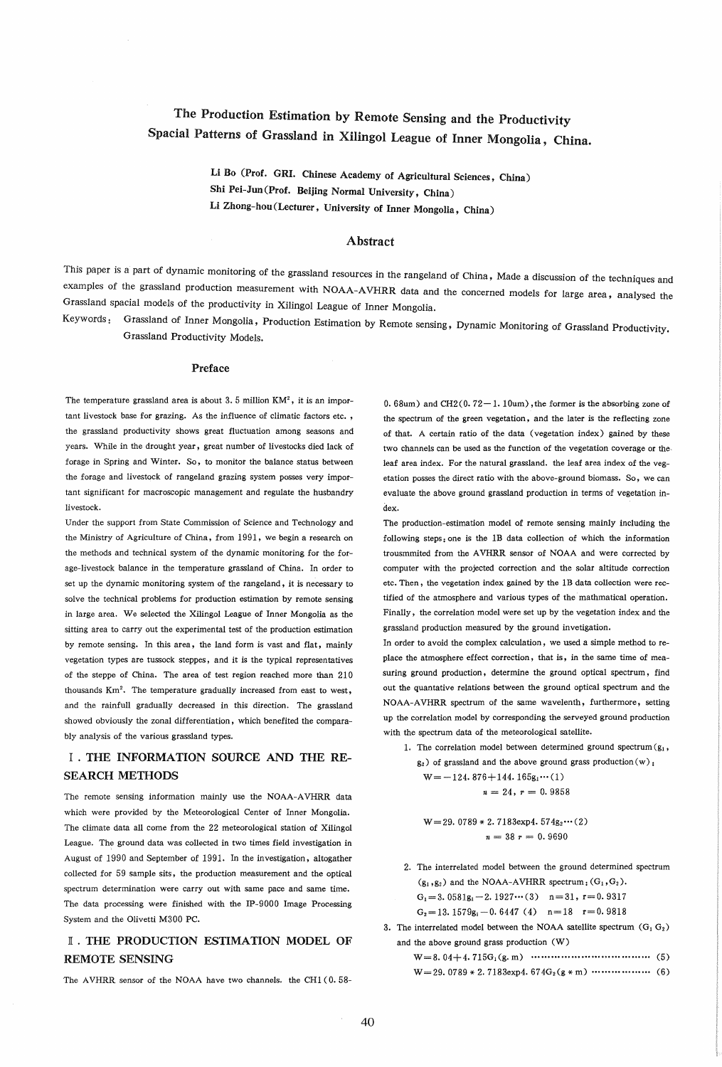# The Production Estimation by Remote Sensing and the Productivity Spacial Patterns of Grassland in Xilingol League of Inner Mongolia, China.

Li Do (Prof. GRI. Chinese Academy of Agricultural Sciences, China) Shi Pei-Jun (Prof. Beijing Normal University, China) Li Zhong-hou (Lecturer, University of Inner Mongolia, China)

#### Abstract

This paper is a part of dynamic monitoring of the grassland resources in the rangeland of China, Made a discussion of the techniques and examples of the grassland production measurement with NOAA-AVHRR data and the concerned models for large area, analysed the Grassland spacial models of the productivity in Xilingol League of Inner Mongolia.

Keywords: Grassland of Inner Mongolia, Production Estimation by Remote sensing, Dynamic Monitoring of Grassland Productivity. Grassland Productivity Models.

#### Preface

The temperature grassland area is about  $3.5$  million  $KM^2$ , it is an important livestock base for grazing. As the influence of climatic factors etc. , the grassland productivity shows great fluctuation among seasons and years. While in the drought year, great number of livestocks died lack of forage in Spring and Winter. So, to monitor the balance status between the forage and livestock of rangeland grazing system posses very important significant for macroscopic management and regulate the husbandry livestock.

Under the support from State Commission of Science and Technology and the Ministry of Agriculture of China, from 1991, we begin a research on the methods and technical system of the dynamic monitoring for the forage-livestock balance in the temperature grassland of China. In order to set up the dynamic monitoring system of the rangeland, it is necessary to solve the technical problems for production estimation by remote sensing in large area. We selected the Xilingol League of Inner Mongolia as the sitting area to carry out the experimental test of the production estimation by remote sensing. In this area, the land form is vast and flat, mainly vegetation types are tussock steppes, and it is the typical representatives of the steppe of China. The area of test region reached more than 210 thousands Km2. The temperature gradually increased from east to west, and the rainfull gradually decreased in this direction. The grassland showed obviously the zonal differentiation, which benefited the comparably analysis of the various grassland types.

### I . THE INFORMATION SOURCE AND THE RE-SEARCH METHODS

The remote sensing information mainly use the NOAA-AVHRR data which were provided by the Meteorological Center of Inner Mongolia. The climate data all come from the 22 meteorological station of Xilingol League. The ground data was collected in two times field investigation in August of 1990 and September of 1991. In the investigation. altogather collected for 59 sample sits, the production measurement and the optical spectrum determination were carry out with same pace and same time. The data processing were finished with the IP-9000 Image Processing System and the Olivetti M300 PC.

### I . THE PRODUCTION ESTIMATION MODEL OF REMOTE SENSING

The AVHRR sensor of the NOAA have two channels. the CH1 (0.58-

 $0.68$ um) and CH2( $0.72-1.10$ um), the former is the absorbing zone of the spectrum of the green vegetation, and the later is the reflecting zone of that. A certain ratio of the data (vegetation index) gained by these two channels can be used as the function of the vegetation coverage or theleaf area index. For the natural grassland. the leaf area index of the vegetation posses the direct ratio with the above-ground biomass. So, we can evaluate the above ground grassland production in terms of vegetation index.

The production-estimation model of remote sensing mainly including the following steps: one is the 1B data collection of which the information trousmmited from the A VHRR sensor of NOAA and were corrected by computer with the projected correction and the solar altitude correction etc. Then, the vegetation index gained by the 1B data collection were rectified of the atmosphere and various types of the mathmatical operation. Finally, the correlation model were set up by the vegetation index and the grassland production measured by the ground invetigation.

In order to avoid the complex calculation, we used a simple method to replace the atmosphere effect correction, that is, in the same time of measuring ground production, determine the ground optical spectrum, find out the quantative relations between the ground optical spectrum and the NOAA-A VHRR spectrum of the same wavelenth, furthermore, setting up the correlation model by corresponding the serveyed ground production with the spectrum data of the meteorological satellite.

1. The correlation model between determined ground spectrum  $(g_1, g_2)$  $g_2$ ) of grassland and the above ground grass production (w):

$$
W = -124.876 + 144.165g_1 \cdots (1)
$$

$$
n = 24, r = 0.9858
$$

 $W=29.0789 * 2.7183exp4.574g_2...(2)$  $n = 38 r = 0.9690$ 

2. The interrelated model between the ground determined spectrum  $(g_1, g_2)$  and the NOAA-AVHRR spectrum:  $(G_1, G_2)$ .

G<sub>1</sub>=3.0581g<sub>1</sub>-2.1927 $\cdots$ (3) n=31, r=0.9317

 $G_2=13.1579g_1-0.6447(4)$  n=18 r=0.9818

3. The interrelated model between the NOAA satellite spectrum  $(G_1 G_2)$ and the above ground grass production (W)

- W=8.04+4.715G1(g.m) .................................... (5)
- W=29. 0789\* 2. 7183exp4. 674G2(g\*m) .................. (6)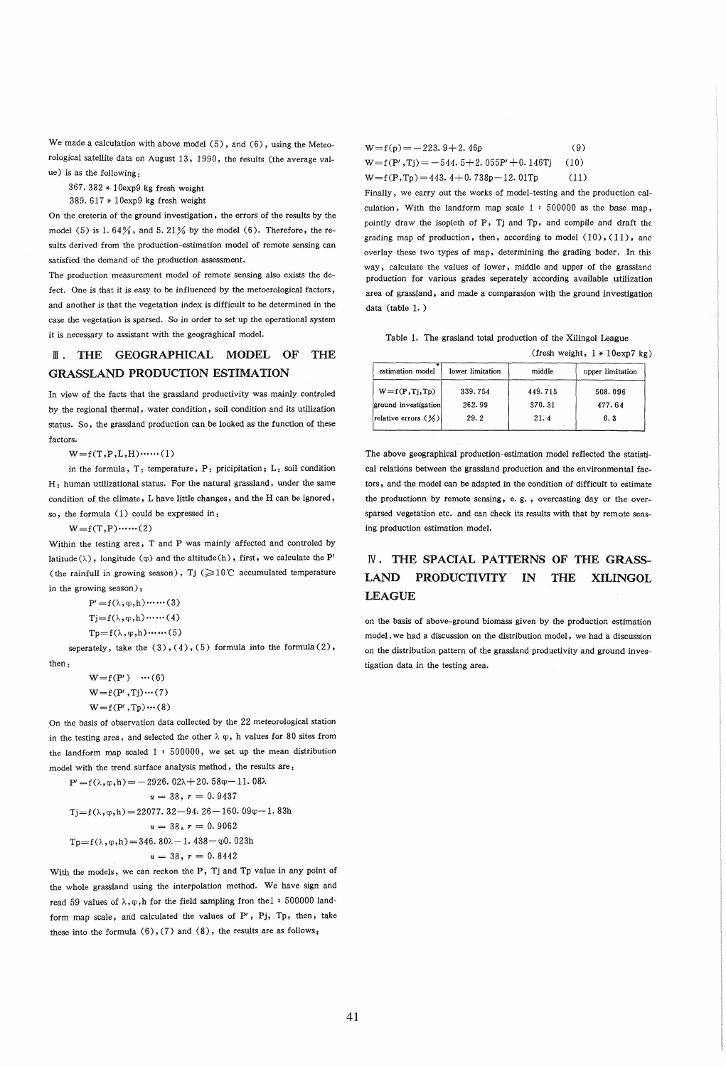We made a calculation with above model (5), and (6), using the Meteorological satellite data on August 13. 1990, the results (the average value) is as the following:

367.382 \* 10exp9 kg fresh weight

389.617 \* 10exp9 kg fresh weight

On the creteria of the ground investigation, the errors of the results by the model (5) is 1.64%, and 5.21% by the model (6). Therefore, the results derived from the production-estimation model of remote sensing can satisfied the demand of the production assessment.

The production measurement model of remote sensing also exists the defect. One is that it is easy to be influenced by the metoerological factors, and another is that the vegetation index is difficult to be determined in the case the vegetation is sparsed. So in order to set up the operational system it is necessary to assistant with the geograghical model.

# lIT. THE GEOGRAPHICAL MODEL OF THE GRASSLAND PRODUCTION ESTIMATION

In view of the facts that the grassland productivity was mainly controled by the regional thermal, water condition, soil condition and its utilization status. So, the grassland production can be looked as the function of these factors.

 $W = f(T, P, L, H)$ ......(1)

in the formula, T: temperature, P: pricipitation; L: soil condition H: human utilizational status. For the natural grassland, under the same condition of the climate, L have little changes, and the H can be ignored, so, the formula  $(1)$  could be expressed in:

 $W = f(T, P) \cdots (2)$ 

Within the testing area, T and P was mainly affected and controled by latitude ( $\lambda$ ), longitude ( $\varphi$ ) and the altitude (h), first, we calculate the P' (the rainfull in growing season), Tj  $(\geq 10^{\circ}C$  accumulated temperature in the growing season):

> $P' = f(\lambda, \varphi, h) \cdots (3)$  $Tj=f(\lambda,\varphi,h)$  ...... (4)  $Tp=f(\lambda,\varphi,h)\cdots(5)$

seperately, take the  $(3)$ ,  $(4)$ ,  $(5)$  formula into the formula  $(2)$ ,

then:

 $W=f(P') \quad \cdots (6)$  $W = f(P', T_i) \cdots (7)$  $W = f(P', T_p) \cdots (8)$ 

On the basis of observation data collected by the 22 meteorological station in the testing area, and selected the other  $\lambda \varphi$ , h values for 80 sites from the landform map scaled  $1 : 500000$ , we set up the mean distribution model with the trend surface analysis method, the results are:

$$
P' = f(\lambda, \varphi, h) = -2926.02\lambda + 20.58\varphi - 11.08\lambda
$$
  
\n
$$
n = 38, r = 0.9437
$$
  
\n
$$
Tj = f(\lambda, \varphi, h) = 22077.32 - 94.26 - 160.09\varphi - 1.83h
$$
  
\n
$$
n = 38, r = 0.9062
$$
  
\n
$$
Tp = f(\lambda, \varphi, h) = 346.80\lambda - 1.438 - \varphi 0.023h
$$
  
\n
$$
n = 38, r = 0.8442
$$

With the models, we can reckon the P, Tj and Tp value in any point of the whole grassland using the interpolation method. We have sign and read 59 values of  $\lambda, \varphi, h$  for the field sampling fron the 1: 500000 landform map scale, and calculated the values of P', Pj, Tp, then, take these into the formula  $(6)$ ,  $(7)$  and  $(8)$ , the results are as follows:

| $W=f(p) = -223.9 + 2.46p$                   | (9)  |
|---------------------------------------------|------|
| $W = f(P', T) = -544.5 + 2.055P' + 0.146Tj$ | (10) |
| $W = f(P, T_p) = 443.4 + 0.738p - 12.01Tp$  | (11) |

Finally, we carry out the works of model-testing and the production calculation, With the landform map scale  $1 : 500000$  as the base map, pointly draw the isopleth of P, Tj and Tp, and compile and draft the grading map of production, then, according to model  $(10)$ ,  $(11)$ , and overlay these two types of map, determining the grading boder. In this way, calculate the values of lower, middle and upper of the grassland production for various grades seperately according available utilization area of grassland, and made a comparasion with the ground investigation data (table 1. )

Table 1. The grasland total production of the Xilingol League

| (fresh weight, $1 * 10exp7 kg$ ) |  |  |  |  |  |  |
|----------------------------------|--|--|--|--|--|--|
|----------------------------------|--|--|--|--|--|--|

|                      | (fresh weight, $1 * 10 \exp 7$ kg) |         |                  |  |  |
|----------------------|------------------------------------|---------|------------------|--|--|
| estimation model     | lower limitation                   | middle  | upper limitation |  |  |
| $W = f(P, Tj, Tp)$   | 339.754                            | 449.715 | 508.096          |  |  |
| ground investigation | 262.99                             | 370.31  | 477.64           |  |  |
| relative errors (%)  | 29.2                               | 21.4    | 6.3              |  |  |

The above geographical production-estimation model reflected the statistical relations between the grassland production and the environmental factors, and the model can be adapted in the condition of difficult to estimate the productionn by remote sensing, e. g. , overcasting day or the oversparsed vegetation etc. and can check its results with that by remote sensing production estimation model.

## N. THE SPACIAL PATTERNS OF THE GRASS-LAND PRODUCTIVITY IN THE XILINGOL LEAGUE

on the basis of above-ground biomass given by the production estimation model, we had a discussion on the distribution model, we had a discussion on the distribution pattern of the grassland productivity and ground investigation data in the testing area.